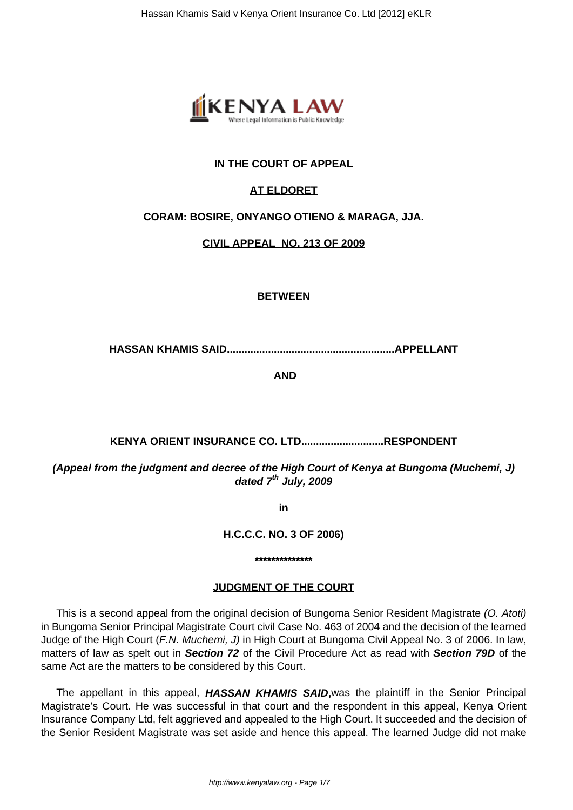

## **IN THE COURT OF APPEAL**

## **AT ELDORET**

#### **CORAM: BOSIRE, ONYANGO OTIENO & MARAGA, JJA.**

**CIVIL APPEAL NO. 213 OF 2009**

#### **BETWEEN**

**HASSAN KHAMIS SAID.........................................................APPELLANT**

**AND**

# **KENYA ORIENT INSURANCE CO. LTD............................RESPONDENT**

**(Appeal from the judgment and decree of the High Court of Kenya at Bungoma (Muchemi, J) dated 7th July, 2009**

**in**

**H.C.C.C. NO. 3 OF 2006)**

#### **\*\*\*\*\*\*\*\*\*\*\*\*\*\***

#### **JUDGMENT OF THE COURT**

This is a second appeal from the original decision of Bungoma Senior Resident Magistrate (O. Atoti) in Bungoma Senior Principal Magistrate Court civil Case No. 463 of 2004 and the decision of the learned Judge of the High Court (F.N. Muchemi, J) in High Court at Bungoma Civil Appeal No. 3 of 2006. In law, matters of law as spelt out in **Section 72** of the Civil Procedure Act as read with **Section 79D** of the same Act are the matters to be considered by this Court.

The appellant in this appeal, **HASSAN KHAMIS SAID,**was the plaintiff in the Senior Principal Magistrate's Court. He was successful in that court and the respondent in this appeal, Kenya Orient Insurance Company Ltd, felt aggrieved and appealed to the High Court. It succeeded and the decision of the Senior Resident Magistrate was set aside and hence this appeal. The learned Judge did not make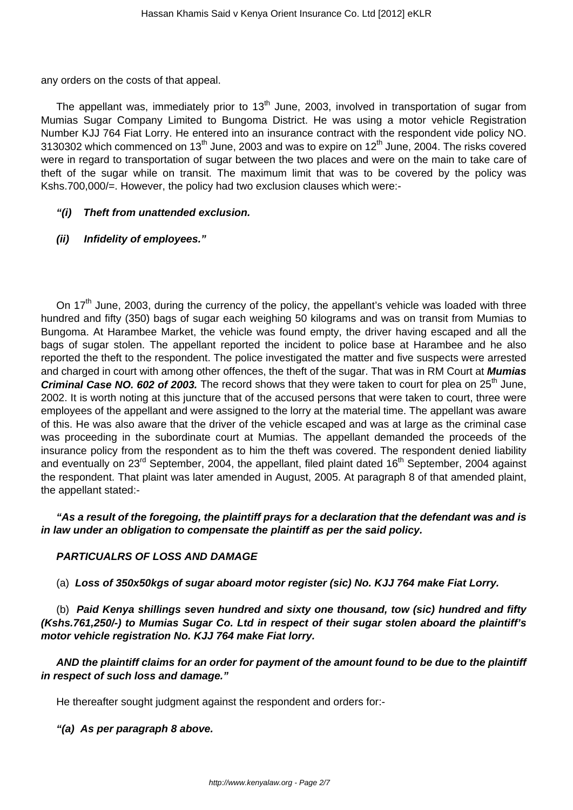any orders on the costs of that appeal.

The appellant was, immediately prior to  $13<sup>th</sup>$  June, 2003, involved in transportation of sugar from Mumias Sugar Company Limited to Bungoma District. He was using a motor vehicle Registration Number KJJ 764 Fiat Lorry. He entered into an insurance contract with the respondent vide policy NO. 3130302 which commenced on  $13<sup>th</sup>$  June, 2003 and was to expire on  $12<sup>th</sup>$  June, 2004. The risks covered were in regard to transportation of sugar between the two places and were on the main to take care of theft of the sugar while on transit. The maximum limit that was to be covered by the policy was Kshs.700,000/=. However, the policy had two exclusion clauses which were:-

## **"(i) Theft from unattended exclusion.**

## **(ii) Infidelity of employees."**

On 17<sup>th</sup> June, 2003, during the currency of the policy, the appellant's vehicle was loaded with three hundred and fifty (350) bags of sugar each weighing 50 kilograms and was on transit from Mumias to Bungoma. At Harambee Market, the vehicle was found empty, the driver having escaped and all the bags of sugar stolen. The appellant reported the incident to police base at Harambee and he also reported the theft to the respondent. The police investigated the matter and five suspects were arrested and charged in court with among other offences, the theft of the sugar. That was in RM Court at **Mumias Criminal Case NO. 602 of 2003.** The record shows that they were taken to court for plea on 25<sup>th</sup> June, 2002. It is worth noting at this juncture that of the accused persons that were taken to court, three were employees of the appellant and were assigned to the lorry at the material time. The appellant was aware of this. He was also aware that the driver of the vehicle escaped and was at large as the criminal case was proceeding in the subordinate court at Mumias. The appellant demanded the proceeds of the insurance policy from the respondent as to him the theft was covered. The respondent denied liability and eventually on 23<sup>rd</sup> September, 2004, the appellant, filed plaint dated 16<sup>th</sup> September, 2004 against the respondent. That plaint was later amended in August, 2005. At paragraph 8 of that amended plaint, the appellant stated:-

**"As a result of the foregoing, the plaintiff prays for a declaration that the defendant was and is in law under an obligation to compensate the plaintiff as per the said policy.**

## **PARTICUALRS OF LOSS AND DAMAGE**

(a) **Loss of 350x50kgs of sugar aboard motor register (sic) No. KJJ 764 make Fiat Lorry.**

(b) **Paid Kenya shillings seven hundred and sixty one thousand, tow (sic) hundred and fifty (Kshs.761,250/-) to Mumias Sugar Co. Ltd in respect of their sugar stolen aboard the plaintiff's motor vehicle registration No. KJJ 764 make Fiat lorry.**

**AND the plaintiff claims for an order for payment of the amount found to be due to the plaintiff in respect of such loss and damage."**

He thereafter sought judgment against the respondent and orders for:-

**"(a) As per paragraph 8 above.**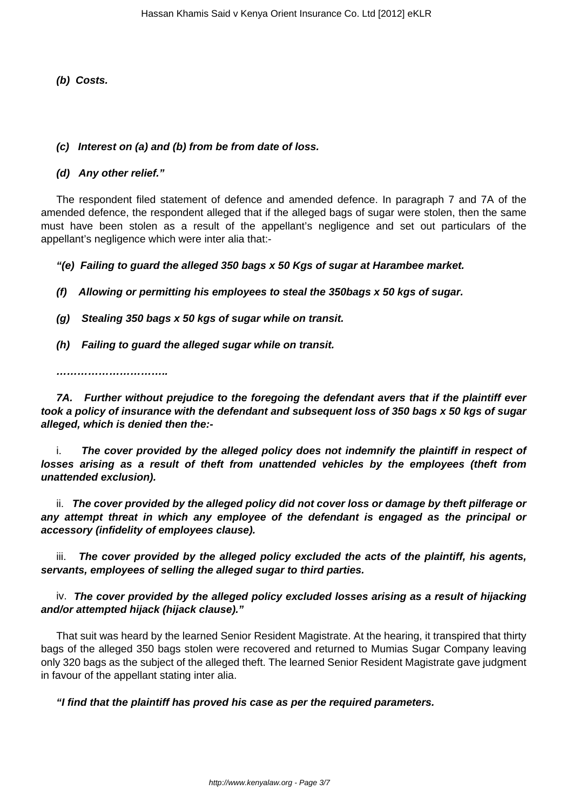**(b) Costs.**

## **(c) Interest on (a) and (b) from be from date of loss.**

### **(d) Any other relief."**

The respondent filed statement of defence and amended defence. In paragraph 7 and 7A of the amended defence, the respondent alleged that if the alleged bags of sugar were stolen, then the same must have been stolen as a result of the appellant's negligence and set out particulars of the appellant's negligence which were inter alia that:-

**"(e) Failing to guard the alleged 350 bags x 50 Kgs of sugar at Harambee market.**

**(f) Allowing or permitting his employees to steal the 350bags x 50 kgs of sugar.**

**(g) Stealing 350 bags x 50 kgs of sugar while on transit.**

**(h) Failing to guard the alleged sugar while on transit.**

**…………………………..**

**7A. Further without prejudice to the foregoing the defendant avers that if the plaintiff ever took a policy of insurance with the defendant and subsequent loss of 350 bags x 50 kgs of sugar alleged, which is denied then the:-**

i. **The cover provided by the alleged policy does not indemnify the plaintiff in respect of losses arising as a result of theft from unattended vehicles by the employees (theft from unattended exclusion).**

ii. **The cover provided by the alleged policy did not cover loss or damage by theft pilferage or any attempt threat in which any employee of the defendant is engaged as the principal or accessory (infidelity of employees clause).**

iii. **The cover provided by the alleged policy excluded the acts of the plaintiff, his agents, servants, employees of selling the alleged sugar to third parties.**

iv. **The cover provided by the alleged policy excluded losses arising as a result of hijacking and/or attempted hijack (hijack clause)."**

That suit was heard by the learned Senior Resident Magistrate. At the hearing, it transpired that thirty bags of the alleged 350 bags stolen were recovered and returned to Mumias Sugar Company leaving only 320 bags as the subject of the alleged theft. The learned Senior Resident Magistrate gave judgment in favour of the appellant stating inter alia.

**"I find that the plaintiff has proved his case as per the required parameters.**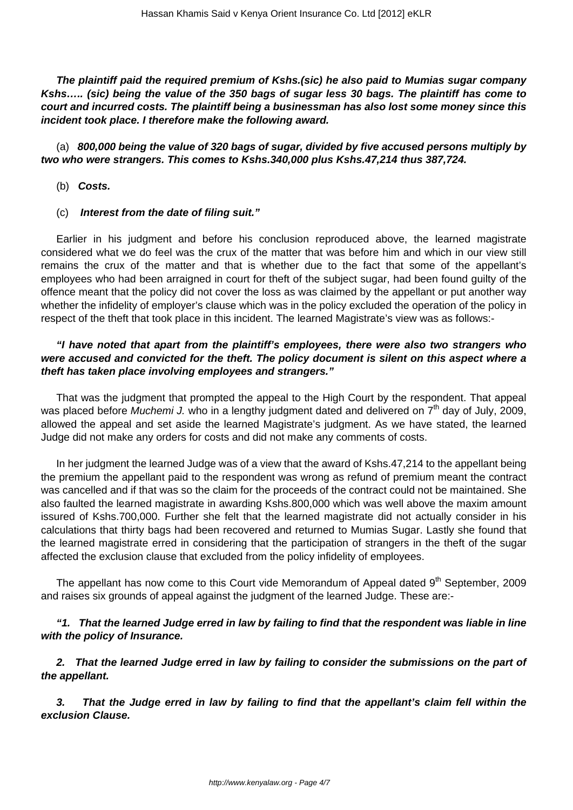**The plaintiff paid the required premium of Kshs.(sic) he also paid to Mumias sugar company Kshs….. (sic) being the value of the 350 bags of sugar less 30 bags. The plaintiff has come to court and incurred costs. The plaintiff being a businessman has also lost some money since this incident took place. I therefore make the following award.**

(a) **800,000 being the value of 320 bags of sugar, divided by five accused persons multiply by two who were strangers. This comes to Kshs.340,000 plus Kshs.47,214 thus 387,724.**

(b) **Costs.**

#### (c) **Interest from the date of filing suit."**

Earlier in his judgment and before his conclusion reproduced above, the learned magistrate considered what we do feel was the crux of the matter that was before him and which in our view still remains the crux of the matter and that is whether due to the fact that some of the appellant's employees who had been arraigned in court for theft of the subject sugar, had been found guilty of the offence meant that the policy did not cover the loss as was claimed by the appellant or put another way whether the infidelity of employer's clause which was in the policy excluded the operation of the policy in respect of the theft that took place in this incident. The learned Magistrate's view was as follows:-

## **"I have noted that apart from the plaintiff's employees, there were also two strangers who were accused and convicted for the theft. The policy document is silent on this aspect where a theft has taken place involving employees and strangers."**

That was the judgment that prompted the appeal to the High Court by the respondent. That appeal was placed before Muchemi J. who in a lengthy judgment dated and delivered on  $7<sup>th</sup>$  day of July, 2009, allowed the appeal and set aside the learned Magistrate's judgment. As we have stated, the learned Judge did not make any orders for costs and did not make any comments of costs.

In her judgment the learned Judge was of a view that the award of Kshs.47,214 to the appellant being the premium the appellant paid to the respondent was wrong as refund of premium meant the contract was cancelled and if that was so the claim for the proceeds of the contract could not be maintained. She also faulted the learned magistrate in awarding Kshs.800,000 which was well above the maxim amount issured of Kshs.700,000. Further she felt that the learned magistrate did not actually consider in his calculations that thirty bags had been recovered and returned to Mumias Sugar. Lastly she found that the learned magistrate erred in considering that the participation of strangers in the theft of the sugar affected the exclusion clause that excluded from the policy infidelity of employees.

The appellant has now come to this Court vide Memorandum of Appeal dated  $9<sup>th</sup>$  September, 2009 and raises six grounds of appeal against the judgment of the learned Judge. These are:-

## **"1. That the learned Judge erred in law by failing to find that the respondent was liable in line with the policy of Insurance.**

**2. That the learned Judge erred in law by failing to consider the submissions on the part of the appellant.**

**3. That the Judge erred in law by failing to find that the appellant's claim fell within the exclusion Clause.**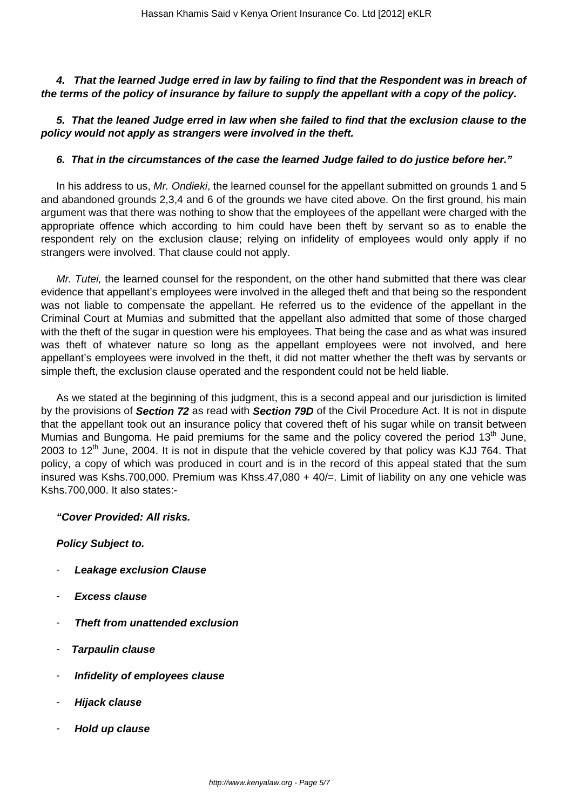## **4. That the learned Judge erred in law by failing to find that the Respondent was in breach of the terms of the policy of insurance by failure to supply the appellant with a copy of the policy.**

## **5. That the leaned Judge erred in law when she failed to find that the exclusion clause to the policy would not apply as strangers were involved in the theft.**

### **6. That in the circumstances of the case the learned Judge failed to do justice before her."**

In his address to us, Mr. Ondieki, the learned counsel for the appellant submitted on grounds 1 and 5 and abandoned grounds 2,3,4 and 6 of the grounds we have cited above. On the first ground, his main argument was that there was nothing to show that the employees of the appellant were charged with the appropriate offence which according to him could have been theft by servant so as to enable the respondent rely on the exclusion clause; relying on infidelity of employees would only apply if no strangers were involved. That clause could not apply.

Mr. Tutei, the learned counsel for the respondent, on the other hand submitted that there was clear evidence that appellant's employees were involved in the alleged theft and that being so the respondent was not liable to compensate the appellant. He referred us to the evidence of the appellant in the Criminal Court at Mumias and submitted that the appellant also admitted that some of those charged with the theft of the sugar in question were his employees. That being the case and as what was insured was theft of whatever nature so long as the appellant employees were not involved, and here appellant's employees were involved in the theft, it did not matter whether the theft was by servants or simple theft, the exclusion clause operated and the respondent could not be held liable.

As we stated at the beginning of this judgment, this is a second appeal and our jurisdiction is limited by the provisions of **Section 72** as read with **Section 79D** of the Civil Procedure Act. It is not in dispute that the appellant took out an insurance policy that covered theft of his sugar while on transit between Mumias and Bungoma. He paid premiums for the same and the policy covered the period  $13<sup>th</sup>$  June, 2003 to  $12<sup>th</sup>$  June, 2004. It is not in dispute that the vehicle covered by that policy was KJJ 764. That policy, a copy of which was produced in court and is in the record of this appeal stated that the sum insured was Kshs.700,000. Premium was Khss.47,080 + 40/=. Limit of liability on any one vehicle was Kshs.700,000. It also states:-

#### **"Cover Provided: All risks.**

#### **Policy Subject to.**

- **Leakage exclusion Clause**
- **Excess clause**
- **Theft from unattended exclusion**
- **Tarpaulin clause**
- **Infidelity of employees clause**
- **Hijack clause**
- **Hold up clause**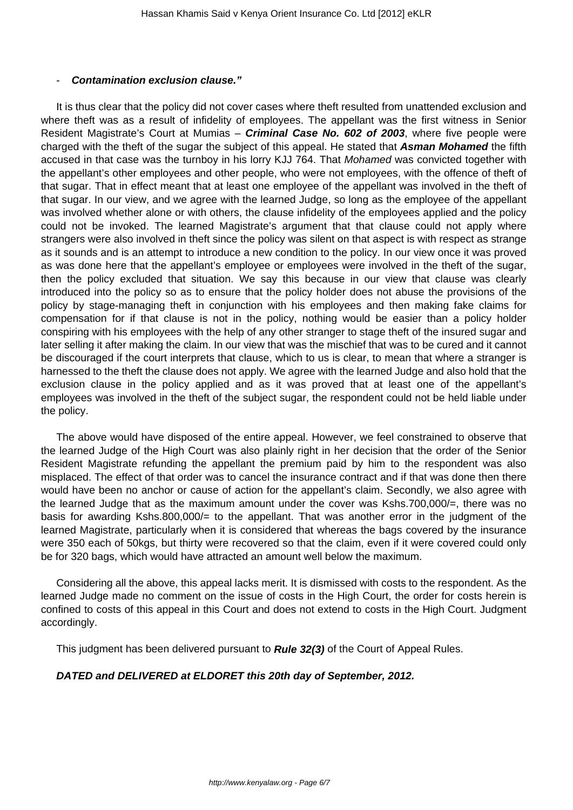#### - **Contamination exclusion clause."**

It is thus clear that the policy did not cover cases where theft resulted from unattended exclusion and where theft was as a result of infidelity of employees. The appellant was the first witness in Senior Resident Magistrate's Court at Mumias – **Criminal Case No. 602 of 2003**, where five people were charged with the theft of the sugar the subject of this appeal. He stated that **Asman Mohamed** the fifth accused in that case was the turnboy in his lorry KJJ 764. That Mohamed was convicted together with the appellant's other employees and other people, who were not employees, with the offence of theft of that sugar. That in effect meant that at least one employee of the appellant was involved in the theft of that sugar. In our view, and we agree with the learned Judge, so long as the employee of the appellant was involved whether alone or with others, the clause infidelity of the employees applied and the policy could not be invoked. The learned Magistrate's argument that that clause could not apply where strangers were also involved in theft since the policy was silent on that aspect is with respect as strange as it sounds and is an attempt to introduce a new condition to the policy. In our view once it was proved as was done here that the appellant's employee or employees were involved in the theft of the sugar, then the policy excluded that situation. We say this because in our view that clause was clearly introduced into the policy so as to ensure that the policy holder does not abuse the provisions of the policy by stage-managing theft in conjunction with his employees and then making fake claims for compensation for if that clause is not in the policy, nothing would be easier than a policy holder conspiring with his employees with the help of any other stranger to stage theft of the insured sugar and later selling it after making the claim. In our view that was the mischief that was to be cured and it cannot be discouraged if the court interprets that clause, which to us is clear, to mean that where a stranger is harnessed to the theft the clause does not apply. We agree with the learned Judge and also hold that the exclusion clause in the policy applied and as it was proved that at least one of the appellant's employees was involved in the theft of the subject sugar, the respondent could not be held liable under the policy.

The above would have disposed of the entire appeal. However, we feel constrained to observe that the learned Judge of the High Court was also plainly right in her decision that the order of the Senior Resident Magistrate refunding the appellant the premium paid by him to the respondent was also misplaced. The effect of that order was to cancel the insurance contract and if that was done then there would have been no anchor or cause of action for the appellant's claim. Secondly, we also agree with the learned Judge that as the maximum amount under the cover was Kshs.700,000/=, there was no basis for awarding Kshs.800,000/= to the appellant. That was another error in the judgment of the learned Magistrate, particularly when it is considered that whereas the bags covered by the insurance were 350 each of 50kgs, but thirty were recovered so that the claim, even if it were covered could only be for 320 bags, which would have attracted an amount well below the maximum.

Considering all the above, this appeal lacks merit. It is dismissed with costs to the respondent. As the learned Judge made no comment on the issue of costs in the High Court, the order for costs herein is confined to costs of this appeal in this Court and does not extend to costs in the High Court. Judgment accordingly.

This judgment has been delivered pursuant to **Rule 32(3)** of the Court of Appeal Rules.

## **DATED and DELIVERED at ELDORET this 20th day of September, 2012.**